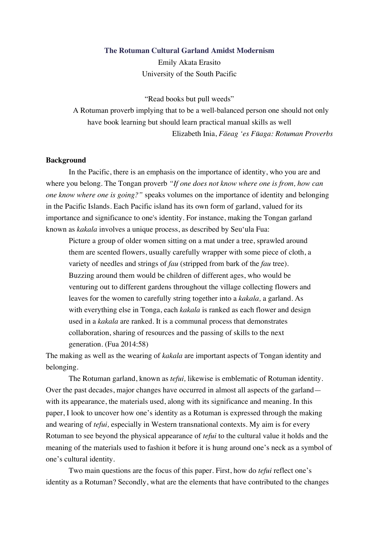#### **The Rotuman Cultural Garland Amidst Modernism**

Emily Akata Erasito University of the South Pacific

"Read books but pull weeds"

A Rotuman proverb implying that to be a well-balanced person one should not only have book learning but should learn practical manual skills as well Elizabeth Inia, *Fäeag 'es Fūaga: Rotuman Proverbs*

### **Background**

In the Pacific, there is an emphasis on the importance of identity, who you are and where you belong. The Tongan proverb *"If one does not know where one is from, how can one know where one is going?"* speaks volumes on the importance of identity and belonging in the Pacific Islands. Each Pacific island has its own form of garland, valued for its importance and significance to one's identity. For instance, making the Tongan garland known as *kakala* involves a unique process, as described by Seu'ula Fua:

Picture a group of older women sitting on a mat under a tree, sprawled around them are scented flowers, usually carefully wrapper with some piece of cloth, a variety of needles and strings of *fau* (stripped from bark of the *fau* tree). Buzzing around them would be children of different ages, who would be venturing out to different gardens throughout the village collecting flowers and leaves for the women to carefully string together into a *kakala,* a garland. As with everything else in Tonga, each *kakala* is ranked as each flower and design used in a *kakala* are ranked. It is a communal process that demonstrates collaboration, sharing of resources and the passing of skills to the next generation. (Fua 2014:58)

The making as well as the wearing of *kakala* are important aspects of Tongan identity and belonging.

The Rotuman garland, known as *tefui,* likewise is emblematic of Rotuman identity. Over the past decades, major changes have occurred in almost all aspects of the garland with its appearance, the materials used, along with its significance and meaning. In this paper, I look to uncover how one's identity as a Rotuman is expressed through the making and wearing of *tefui,* especially in Western transnational contexts. My aim is for every Rotuman to see beyond the physical appearance of *tefui* to the cultural value it holds and the meaning of the materials used to fashion it before it is hung around one's neck as a symbol of one's cultural identity.

Two main questions are the focus of this paper. First, how do *tefui* reflect one's identity as a Rotuman? Secondly, what are the elements that have contributed to the changes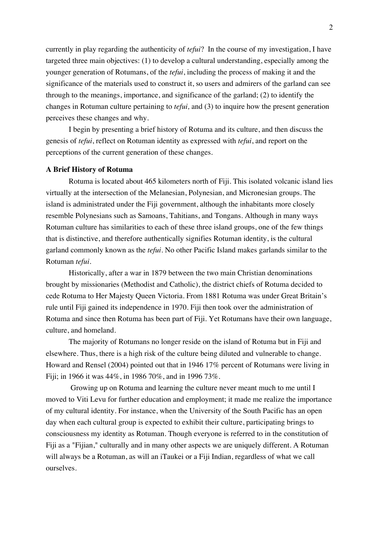currently in play regarding the authenticity of *tefui*? In the course of my investigation, I have targeted three main objectives: (1) to develop a cultural understanding, especially among the younger generation of Rotumans, of the *tefui*, including the process of making it and the significance of the materials used to construct it, so users and admirers of the garland can see through to the meanings, importance, and significance of the garland; (2) to identify the changes in Rotuman culture pertaining to *tefui,* and (3) to inquire how the present generation perceives these changes and why.

I begin by presenting a brief history of Rotuma and its culture, and then discuss the genesis of *tefui*, reflect on Rotuman identity as expressed with *tefui*, and report on the perceptions of the current generation of these changes.

#### **A Brief History of Rotuma**

Rotuma is located about 465 kilometers north of Fiji. This isolated volcanic island lies virtually at the intersection of the Melanesian, Polynesian, and Micronesian groups. The island is administrated under the Fiji government, although the inhabitants more closely resemble Polynesians such as Samoans, Tahitians, and Tongans. Although in many ways Rotuman culture has similarities to each of these three island groups, one of the few things that is distinctive, and therefore authentically signifies Rotuman identity, is the cultural garland commonly known as the *tefui*. No other Pacific Island makes garlands similar to the Rotuman *tefui*.

Historically, after a war in 1879 between the two main Christian denominations brought by missionaries (Methodist and Catholic), the district chiefs of Rotuma decided to cede Rotuma to Her Majesty Queen Victoria. From 1881 Rotuma was under Great Britain's rule until Fiji gained its independence in 1970. Fiji then took over the administration of Rotuma and since then Rotuma has been part of Fiji. Yet Rotumans have their own language, culture, and homeland.

The majority of Rotumans no longer reside on the island of Rotuma but in Fiji and elsewhere. Thus, there is a high risk of the culture being diluted and vulnerable to change. Howard and Rensel (2004) pointed out that in 1946 17% percent of Rotumans were living in Fiji; in 1966 it was 44%, in 1986 70%, and in 1996 73%.

Growing up on Rotuma and learning the culture never meant much to me until I moved to Viti Levu for further education and employment; it made me realize the importance of my cultural identity. For instance, when the University of the South Pacific has an open day when each cultural group is expected to exhibit their culture, participating brings to consciousness my identity as Rotuman. Though everyone is referred to in the constitution of Fiji as a "Fijian," culturally and in many other aspects we are uniquely different. A Rotuman will always be a Rotuman, as will an iTaukei or a Fiji Indian, regardless of what we call ourselves.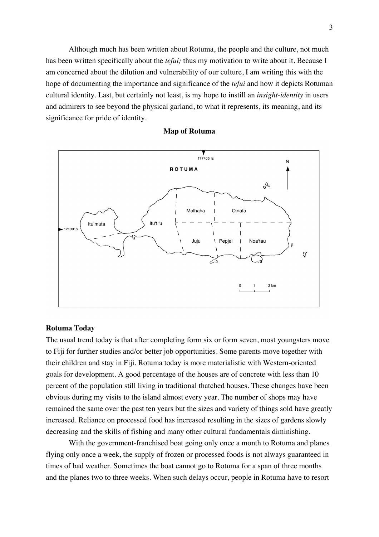Although much has been written about Rotuma, the people and the culture, not much has been written specifically about the *tefui;* thus my motivation to write about it. Because I am concerned about the dilution and vulnerability of our culture, I am writing this with the hope of documenting the importance and significance of the *tefui* and how it depicts Rotuman cultural identity. Last, but certainly not least, is my hope to instill an *insight-identity* in users and admirers to see beyond the physical garland, to what it represents, its meaning, and its significance for pride of identity.



## **Map of Rotuma**

# **Rotuma Today**

The usual trend today is that after completing form six or form seven, most youngsters move to Fiji for further studies and/or better job opportunities. Some parents move together with their children and stay in Fiji. Rotuma today is more materialistic with Western-oriented goals for development. A good percentage of the houses are of concrete with less than 10 percent of the population still living in traditional thatched houses. These changes have been obvious during my visits to the island almost every year. The number of shops may have remained the same over the past ten years but the sizes and variety of things sold have greatly increased. Reliance on processed food has increased resulting in the sizes of gardens slowly decreasing and the skills of fishing and many other cultural fundamentals diminishing.

With the government-franchised boat going only once a month to Rotuma and planes flying only once a week, the supply of frozen or processed foods is not always guaranteed in times of bad weather. Sometimes the boat cannot go to Rotuma for a span of three months and the planes two to three weeks. When such delays occur, people in Rotuma have to resort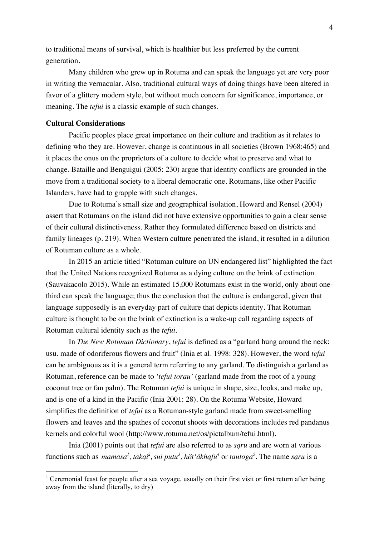to traditional means of survival, which is healthier but less preferred by the current generation.

Many children who grew up in Rotuma and can speak the language yet are very poor in writing the vernacular. Also, traditional cultural ways of doing things have been altered in favor of a glittery modern style, but without much concern for significance, importance, or meaning. The *tefui* is a classic example of such changes.

# **Cultural Considerations**

Pacific peoples place great importance on their culture and tradition as it relates to defining who they are. However, change is continuous in all societies (Brown 1968:465) and it places the onus on the proprietors of a culture to decide what to preserve and what to change. Bataille and Benguigui (2005: 230) argue that identity conflicts are grounded in the move from a traditional society to a liberal democratic one. Rotumans, like other Pacific Islanders, have had to grapple with such changes.

Due to Rotuma's small size and geographical isolation, Howard and Rensel (2004) assert that Rotumans on the island did not have extensive opportunities to gain a clear sense of their cultural distinctiveness. Rather they formulated difference based on districts and family lineages (p. 219). When Western culture penetrated the island, it resulted in a dilution of Rotuman culture as a whole.

In 2015 an article titled "Rotuman culture on UN endangered list" highlighted the fact that the United Nations recognized Rotuma as a dying culture on the brink of extinction (Sauvakacolo 2015). While an estimated 15,000 Rotumans exist in the world, only about onethird can speak the language; thus the conclusion that the culture is endangered, given that language supposedly is an everyday part of culture that depicts identity. That Rotuman culture is thought to be on the brink of extinction is a wake-up call regarding aspects of Rotuman cultural identity such as the *tefui*.

In *The New Rotuman Dictionary*, *tefui* is defined as a "garland hung around the neck: usu. made of odoriferous flowers and fruit" (Inia et al. 1998: 328). However, the word *tefui* can be ambiguous as it is a general term referring to any garland. To distinguish a garland as Rotuman, reference can be made to *'tefui torau'* (garland made from the root of a young coconut tree or fan palm). The Rotuman *tefui* is unique in shape, size, looks, and make up, and is one of a kind in the Pacific (Inia 2001: 28). On the Rotuma Website, Howard simplifies the definition of *tefui* as a Rotuman-style garland made from sweet-smelling flowers and leaves and the spathes of coconut shoots with decorations includes red pandanus kernels and colorful wool (http://www.rotuma.net/os/pictalbum/tefui.html).

Inia (2001) points out that *tefui* are also referred to as *sạru* and are worn at various functions such as *mamasa<sup>l</sup>*, takai<sup>2</sup>, sui putu<sup>3</sup>, höt akhafu<sup>4</sup> or tautoga<sup>5</sup>. The name saru is a

<sup>&</sup>lt;sup>1</sup> Ceremonial feast for people after a sea voyage, usually on their first visit or first return after being away from the island (literally, to dry)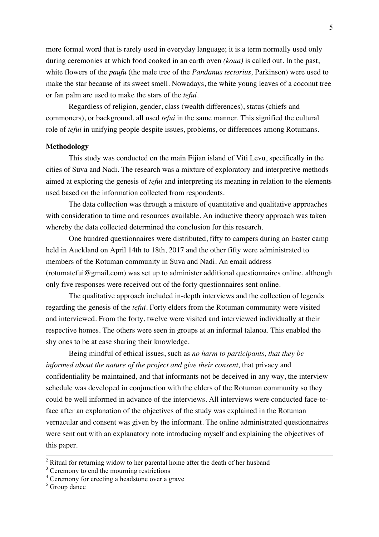more formal word that is rarely used in everyday language; it is a term normally used only during ceremonies at which food cooked in an earth oven *(koua)* is called out*.* In the past, white flowers of the *paufu* (the male tree of the *Pandanus tectorius,* Parkinson) were used to make the star because of its sweet smell. Nowadays, the white young leaves of a coconut tree or fan palm are used to make the stars of the *tefui.*

Regardless of religion, gender, class (wealth differences), status (chiefs and commoners), or background, all used *tefui* in the same manner. This signified the cultural role of *tefui* in unifying people despite issues, problems, or differences among Rotumans.

#### **Methodology**

This study was conducted on the main Fijian island of Viti Levu, specifically in the cities of Suva and Nadi. The research was a mixture of exploratory and interpretive methods aimed at exploring the genesis of *tefui* and interpreting its meaning in relation to the elements used based on the information collected from respondents.

The data collection was through a mixture of quantitative and qualitative approaches with consideration to time and resources available. An inductive theory approach was taken whereby the data collected determined the conclusion for this research.

One hundred questionnaires were distributed, fifty to campers during an Easter camp held in Auckland on April 14th to 18th, 2017 and the other fifty were administrated to members of the Rotuman community in Suva and Nadi. An email address (rotumatefui@gmail.com) was set up to administer additional questionnaires online, although only five responses were received out of the forty questionnaires sent online.

The qualitative approach included in-depth interviews and the collection of legends regarding the genesis of the *tefui*. Forty elders from the Rotuman community were visited and interviewed. From the forty, twelve were visited and interviewed individually at their respective homes. The others were seen in groups at an informal talanoa. This enabled the shy ones to be at ease sharing their knowledge.

Being mindful of ethical issues, such as *no harm to participants, that they be informed about the nature of the project and give their consent,* that privacy and confidentiality be maintained, and that informants not be deceived in any way, the interview schedule was developed in conjunction with the elders of the Rotuman community so they could be well informed in advance of the interviews. All interviews were conducted face-toface after an explanation of the objectives of the study was explained in the Rotuman vernacular and consent was given by the informant. The online administrated questionnaires were sent out with an explanatory note introducing myself and explaining the objectives of this paper.

<sup>&</sup>lt;sup>2</sup> Ritual for returning widow to her parental home after the death of her husband

 $3$  Ceremony to end the mourning restrictions

<sup>4</sup> Ceremony for erecting a headstone over a grave

<sup>&</sup>lt;sup>5</sup> Group dance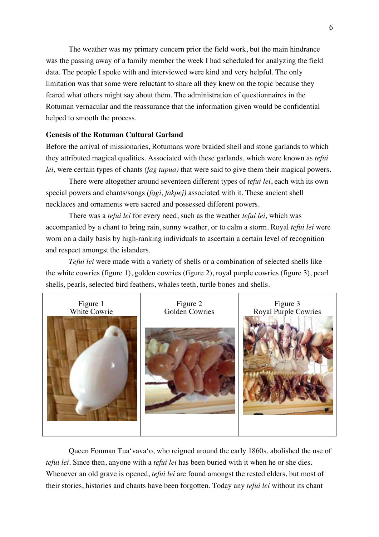The weather was my primary concern prior the field work, but the main hindrance was the passing away of a family member the week I had scheduled for analyzing the field data. The people I spoke with and interviewed were kind and very helpful. The only limitation was that some were reluctant to share all they knew on the topic because they feared what others might say about them. The administration of questionnaires in the Rotuman vernacular and the reassurance that the information given would be confidential helped to smooth the process.

# **Genesis of the Rotuman Cultural Garland**

Before the arrival of missionaries, Rotumans wore braided shell and stone garlands to which they attributed magical qualities. Associated with these garlands, which were known as *tefui lei,* were certain types of chants *(fag tupua)* that were said to give them their magical powers.

There were altogether around seventeen different types of *tefui lei*, each with its own special powers and chants/songs *(fạgi, fakpej)* associated with it. These ancient shell necklaces and ornaments were sacred and possessed different powers.

There was a *tefui lei* for every need, such as the weather *tefui lei,* which was accompanied by a chant to bring rain, sunny weather, or to calm a storm. Royal *tefui lei* were worn on a daily basis by high-ranking individuals to ascertain a certain level of recognition and respect amongst the islanders.

*Tefui lei* were made with a variety of shells or a combination of selected shells like the white cowries (figure 1), golden cowries (figure 2), royal purple cowries (figure 3), pearl shells, pearls, selected bird feathers, whales teeth, turtle bones and shells.



Queen Fonman Tuaʻvavaʻo, who reigned around the early 1860s, abolished the use of *tefui lei*. Since then, anyone with a *tefui lei* has been buried with it when he or she dies. Whenever an old grave is opened, *tefui lei* are found amongst the rested elders, but most of their stories, histories and chants have been forgotten. Today any *tefui lei* without its chant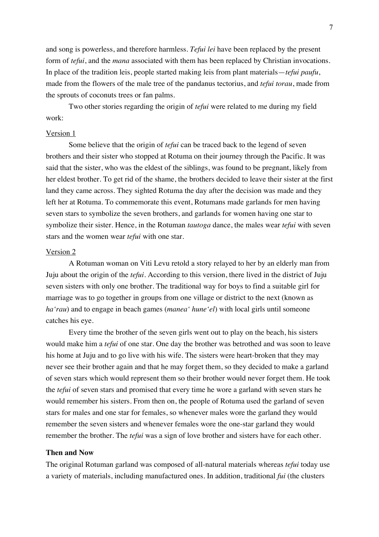and song is powerless, and therefore harmless. *Tefui lei* have been replaced by the present form of *tefui*, and the *mana* associated with them has been replaced by Christian invocations. In place of the tradition leis, people started making leis from plant materials—*tefui paufu*, made from the flowers of the male tree of the pandanus tectorius, and *tefui torau*, made from the sprouts of coconuts trees or fan palms.

Two other stories regarding the origin of *tefui* were related to me during my field work:

## Version 1

Some believe that the origin of *tefui* can be traced back to the legend of seven brothers and their sister who stopped at Rotuma on their journey through the Pacific. It was said that the sister, who was the eldest of the siblings, was found to be pregnant, likely from her eldest brother. To get rid of the shame, the brothers decided to leave their sister at the first land they came across. They sighted Rotuma the day after the decision was made and they left her at Rotuma. To commemorate this event, Rotumans made garlands for men having seven stars to symbolize the seven brothers, and garlands for women having one star to symbolize their sister. Hence, in the Rotuman *tautoga* dance, the males wear *tefui* with seven stars and the women wear *tefui* with one star.

#### Version 2

A Rotuman woman on Viti Levu retold a story relayed to her by an elderly man from Juju about the origin of the *tefui*. According to this version, there lived in the district of Juju seven sisters with only one brother. The traditional way for boys to find a suitable girl for marriage was to go together in groups from one village or district to the next (known as *haʻrau*) and to engage in beach games (*manea' huneʻel*) with local girls until someone catches his eye.

Every time the brother of the seven girls went out to play on the beach, his sisters would make him a *tefui* of one star. One day the brother was betrothed and was soon to leave his home at Juju and to go live with his wife. The sisters were heart-broken that they may never see their brother again and that he may forget them, so they decided to make a garland of seven stars which would represent them so their brother would never forget them. He took the *tefui* of seven stars and promised that every time he wore a garland with seven stars he would remember his sisters. From then on, the people of Rotuma used the garland of seven stars for males and one star for females, so whenever males wore the garland they would remember the seven sisters and whenever females wore the one-star garland they would remember the brother. The *tefui* was a sign of love brother and sisters have for each other.

### **Then and Now**

The original Rotuman garland was composed of all-natural materials whereas *tefui* today use a variety of materials, including manufactured ones. In addition, traditional *fui* (the clusters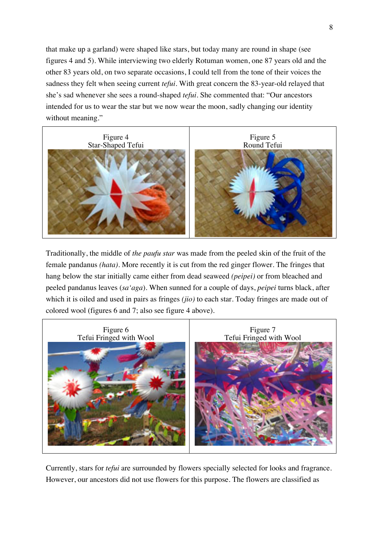that make up a garland) were shaped like stars, but today many are round in shape (see figures 4 and 5). While interviewing two elderly Rotuman women, one 87 years old and the other 83 years old, on two separate occasions, I could tell from the tone of their voices the sadness they felt when seeing current *tefui*. With great concern the 83-year-old relayed that she's sad whenever she sees a round-shaped *tefui*. She commented that: "Our ancestors intended for us to wear the star but we now wear the moon, sadly changing our identity without meaning."



Traditionally, the middle of *the paufu star* was made from the peeled skin of the fruit of the female pandanus *(hata)*. More recently it is cut from the red ginger flower. The fringes that hang below the star initially came either from dead seaweed *(peipei)* or from bleached and peeled pandanus leaves (*saʻaga*)*.* When sunned for a couple of days, *peipei* turns black, after which it is oiled and used in pairs as fringes *(jio)* to each star. Today fringes are made out of colored wool (figures 6 and 7; also see figure 4 above).



Currently, stars for *tefui* are surrounded by flowers specially selected for looks and fragrance. However, our ancestors did not use flowers for this purpose. The flowers are classified as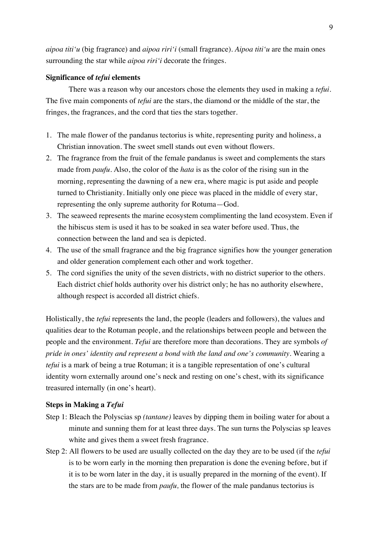*aipoa titi'u* (big fragrance) and *aipoa riri'i* (small fragrance). *Aipoa titi'u* are the main ones surrounding the star while *aipoa riri'i* decorate the fringes.

### **Significance of** *tefui* **elements**

There was a reason why our ancestors chose the elements they used in making a *tefui*. The five main components of *tefui* are the stars, the diamond or the middle of the star, the fringes, the fragrances, and the cord that ties the stars together.

- 1. The male flower of the pandanus tectorius is white, representing purity and holiness, a Christian innovation. The sweet smell stands out even without flowers.
- 2. The fragrance from the fruit of the female pandanus is sweet and complements the stars made from *paufu.* Also, the color of the *hata* is as the color of the rising sun in the morning, representing the dawning of a new era, where magic is put aside and people turned to Christianity. Initially only one piece was placed in the middle of every star, representing the only supreme authority for Rotuma—God.
- 3. The seaweed represents the marine ecosystem complimenting the land ecosystem. Even if the hibiscus stem is used it has to be soaked in sea water before used. Thus, the connection between the land and sea is depicted.
- 4. The use of the small fragrance and the big fragrance signifies how the younger generation and older generation complement each other and work together.
- 5. The cord signifies the unity of the seven districts, with no district superior to the others. Each district chief holds authority over his district only; he has no authority elsewhere, although respect is accorded all district chiefs.

Holistically, the *tefui* represents the land, the people (leaders and followers), the values and qualities dear to the Rotuman people, and the relationships between people and between the people and the environment. *Tefui* are therefore more than decorations. They are symbols *of pride in ones' identity and represent a bond with the land and one's community.* Wearing a *tefui* is a mark of being a true Rotuman; it is a tangible representation of one's cultural identity worn externally around one's neck and resting on one's chest, with its significance treasured internally (in one's heart).

# **Steps in Making a** *Tefui*

- Step 1: Bleach the Polyscias sp *(tantane)* leaves by dipping them in boiling water for about a minute and sunning them for at least three days. The sun turns the Polyscias sp leaves white and gives them a sweet fresh fragrance.
- Step 2: All flowers to be used are usually collected on the day they are to be used (if the *tefui* is to be worn early in the morning then preparation is done the evening before, but if it is to be worn later in the day, it is usually prepared in the morning of the event). If the stars are to be made from *paufu,* the flower of the male pandanus tectorius is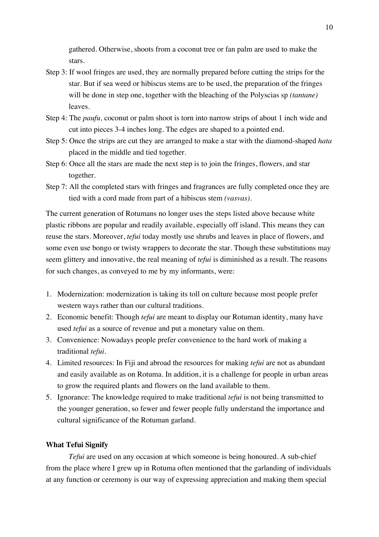gathered*.* Otherwise, shoots from a coconut tree or fan palm are used to make the stars.

- Step 3: If wool fringes are used, they are normally prepared before cutting the strips for the star. But if sea weed or hibiscus stems are to be used, the preparation of the fringes will be done in step one, together with the bleaching of the Polyscias sp *(tantane)* leaves.
- Step 4: The *paufu,* coconut or palm shoot is torn into narrow strips of about 1 inch wide and cut into pieces 3-4 inches long. The edges are shaped to a pointed end.
- Step 5: Once the strips are cut they are arranged to make a star with the diamond-shaped *hata* placed in the middle and tied together.
- Step 6: Once all the stars are made the next step is to join the fringes, flowers, and star together.
- Step 7: All the completed stars with fringes and fragrances are fully completed once they are tied with a cord made from part of a hibiscus stem *(vasvas)*.

The current generation of Rotumans no longer uses the steps listed above because white plastic ribbons are popular and readily available, especially off island. This means they can reuse the stars. Moreover, *tefui* today mostly use shrubs and leaves in place of flowers, and some even use bongo or twisty wrappers to decorate the star. Though these substitutions may seem glittery and innovative, the real meaning of *tefui* is diminished as a result. The reasons for such changes, as conveyed to me by my informants, were:

- 1. Modernization: modernization is taking its toll on culture because most people prefer western ways rather than our cultural traditions.
- 2. Economic benefit: Though *tefui* are meant to display our Rotuman identity, many have used *tefui* as a source of revenue and put a monetary value on them.
- 3. Convenience: Nowadays people prefer convenience to the hard work of making a traditional *tefui*.
- 4. Limited resources: In Fiji and abroad the resources for making *tefui* are not as abundant and easily available as on Rotuma. In addition, it is a challenge for people in urban areas to grow the required plants and flowers on the land available to them.
- 5. Ignorance: The knowledge required to make traditional *tefui* is not being transmitted to the younger generation, so fewer and fewer people fully understand the importance and cultural significance of the Rotuman garland.

### **What Tefui Signify**

*Tefui* are used on any occasion at which someone is being honoured. A sub-chief from the place where I grew up in Rotuma often mentioned that the garlanding of individuals at any function or ceremony is our way of expressing appreciation and making them special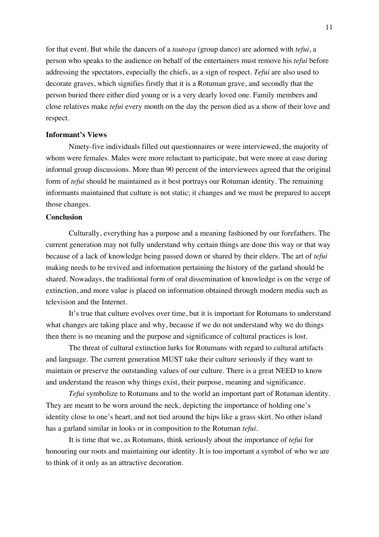for that event. But while the dancers of a *tautoga* (group dance) are adorned with *tefui*, a person who speaks to the audience on behalf of the entertainers must remove his *tefui* before addressing the spectators, especially the chiefs, as a sign of respect. *Tefui* are also used to decorate graves, which signifies firstly that it is a Rotuman grave, and secondly that the person buried there either died young or is a very dearly loved one. Family members and close relatives make *tefui* every month on the day the person died as a show of their love and respect.

## **Informant's Views**

Ninety-five individuals filled out questionnaires or were interviewed, the majority of whom were females. Males were more reluctant to participate, but were more at ease during informal group discussions. More than 90 percent of the interviewees agreed that the original form of *tefui* should be maintained as it best portrays our Rotuman identity. The remaining informants maintained that culture is not static; it changes and we must be prepared to accept those changes.

## **Conclusion**

Culturally, everything has a purpose and a meaning fashioned by our forefathers. The current generation may not fully understand why certain things are done this way or that way because of a lack of knowledge being passed down or shared by their elders. The art of *tefui* making needs to be revived and information pertaining the history of the garland should be shared. Nowadays, the traditional form of oral dissemination of knowledge is on the verge of extinction, and more value is placed on information obtained through modern media such as television and the Internet.

It's true that culture evolves over time, but it is important for Rotumans to understand what changes are taking place and why, because if we do not understand why we do things then there is no meaning and the purpose and significance of cultural practices is lost.

The threat of cultural extinction lurks for Rotumans with regard to cultural artifacts and language. The current generation MUST take their culture seriously if they want to maintain or preserve the outstanding values of our culture. There is a great NEED to know and understand the reason why things exist, their purpose, meaning and significance.

*Tefui* symbolize to Rotumans and to the world an important part of Rotuman identity. They are meant to be worn around the neck, depicting the importance of holding one's identity close to one's heart, and not tied around the hips like a grass skirt. No other island has a garland similar in looks or in composition to the Rotuman *tefui*.

It is time that we, as Rotumans, think seriously about the importance of *tefui* for honouring our roots and maintaining our identity. It is too important a symbol of who we are to think of it only as an attractive decoration.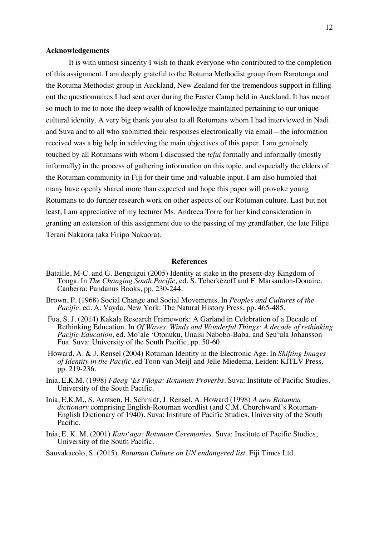### **Acknowledgements**

It is with utmost sincerity I wish to thank everyone who contributed to the completion of this assignment. I am deeply grateful to the Rotuma Methodist group from Rarotonga and the Rotuma Methodist group in Auckland, New Zealand for the tremendous support in filling out the questionnaires I had sent over during the Easter Camp held in Auckland. It has meant so much to me to note the deep wealth of knowledge maintained pertaining to our unique cultural identity. A very big thank you also to all Rotumans whom I had interviewed in Nadi and Suva and to all who submitted their responses electronically via email—the information received was a big help in achieving the main objectives of this paper. I am genuinely touched by all Rotumans with whom I discussed the *tefui* formally and informally (mostly informally) in the process of gathering information on this topic, and especially the elders of the Rotuman community in Fiji for their time and valuable input. I am also humbled that many have openly shared more than expected and hope this paper will provoke young Rotumans to do further research work on other aspects of our Rotuman culture. Last but not least, I am appreciative of my lecturer Ms. Andreea Torre for her kind consideration in granting an extension of this assignment due to the passing of my grandfather, the late Filipe Terani Nakaora (aka Firipo Nakaora).

#### **References**

- Bataille, M-C. and G. Benguigui (2005) Identity at stake in the present-day Kingdom of Tonga. In *The Changing South Pacific,* ed. S. Tcherkèzoff and F. Marsaudon-Douaire. Canberra: Pandanus Books, pp. 230-244.
- Brown, P. (1968) Social Change and Social Movements. In *Peoples and Cultures of the Pacific,* ed. A. Vayda. New York: The Natural History Press, pp. 465-485.
- Fua, S. J. (2014) Kakala Research Framework: A Garland in Celebration of a Decade of Rethinking Education. In *Of Waves, Winds and Wonderful Things: A decade of rethinking Pacific Education,* ed. Moʻale ʻOtonuku, Unaisi Nabobo-Baba, and Seuʻula Johansson Fua. Suva: University of the South Pacific, pp. 50-60.
- Howard, A. & J. Rensel (2004) Rotuman Identity in the Electronic Age. In *Shifting Images of Identity in the Pacific,* ed Toon van Meijl and Jelle Miedema. Leiden: KITLV Press, pp. 219-236.
- Inia, E.K.M. (1998) *Fäeag ʻEs Fūaga: Rotuman Proverbs.* Suva: Institute of Pacific Studies, University of the South Pacific.
- Inia, E.K.M., S. Arntsen, H. Schmidt, J. Rensel, A. Howard (1998) *A new Rotuman dictionary* comprising English-Rotuman wordlist (and C.M. Churchward's Rotuman-English Dictionary of 1940). Suva: Institute of Pacific Studies, University of the South Pacific.
- Inia, E. K. M. (2001) *Kato'aga: Rotuman Ceremonies.* Suva: Institute of Pacific Studies, University of the South Pacific.
- Sauvakacolo, S. (2015). *Rotuman Culture on UN endangered list.* Fiji Times Ltd.